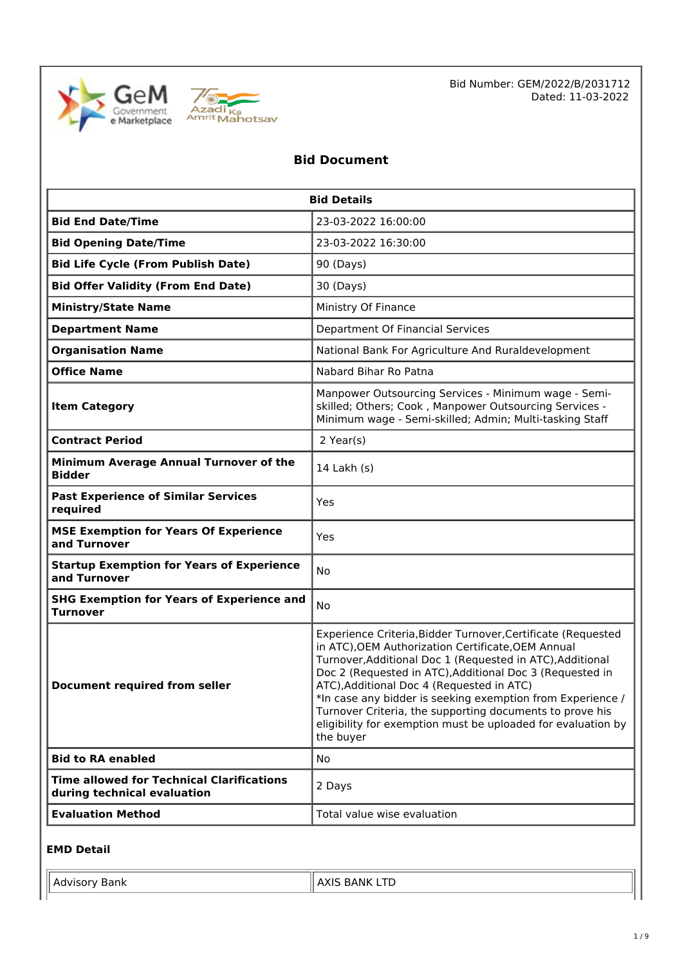



## **Bid Document**

| <b>Bid Details</b>                                                              |                                                                                                                                                                                                                                                                                                                                                                                                                                                                                                 |  |  |
|---------------------------------------------------------------------------------|-------------------------------------------------------------------------------------------------------------------------------------------------------------------------------------------------------------------------------------------------------------------------------------------------------------------------------------------------------------------------------------------------------------------------------------------------------------------------------------------------|--|--|
| <b>Bid End Date/Time</b>                                                        | 23-03-2022 16:00:00                                                                                                                                                                                                                                                                                                                                                                                                                                                                             |  |  |
| <b>Bid Opening Date/Time</b>                                                    | 23-03-2022 16:30:00                                                                                                                                                                                                                                                                                                                                                                                                                                                                             |  |  |
| <b>Bid Life Cycle (From Publish Date)</b>                                       | 90 (Days)                                                                                                                                                                                                                                                                                                                                                                                                                                                                                       |  |  |
| <b>Bid Offer Validity (From End Date)</b>                                       | 30 (Days)                                                                                                                                                                                                                                                                                                                                                                                                                                                                                       |  |  |
| <b>Ministry/State Name</b>                                                      | Ministry Of Finance                                                                                                                                                                                                                                                                                                                                                                                                                                                                             |  |  |
| <b>Department Name</b>                                                          | Department Of Financial Services                                                                                                                                                                                                                                                                                                                                                                                                                                                                |  |  |
| <b>Organisation Name</b>                                                        | National Bank For Agriculture And Ruraldevelopment                                                                                                                                                                                                                                                                                                                                                                                                                                              |  |  |
| <b>Office Name</b>                                                              | Nabard Bihar Ro Patna                                                                                                                                                                                                                                                                                                                                                                                                                                                                           |  |  |
| <b>Item Category</b>                                                            | Manpower Outsourcing Services - Minimum wage - Semi-<br>skilled; Others; Cook, Manpower Outsourcing Services -<br>Minimum wage - Semi-skilled; Admin; Multi-tasking Staff                                                                                                                                                                                                                                                                                                                       |  |  |
| <b>Contract Period</b>                                                          | 2 Year(s)                                                                                                                                                                                                                                                                                                                                                                                                                                                                                       |  |  |
| Minimum Average Annual Turnover of the<br><b>Bidder</b>                         | 14 Lakh (s)                                                                                                                                                                                                                                                                                                                                                                                                                                                                                     |  |  |
| <b>Past Experience of Similar Services</b><br>required                          | Yes                                                                                                                                                                                                                                                                                                                                                                                                                                                                                             |  |  |
| <b>MSE Exemption for Years Of Experience</b><br>and Turnover                    | Yes                                                                                                                                                                                                                                                                                                                                                                                                                                                                                             |  |  |
| <b>Startup Exemption for Years of Experience</b><br>and Turnover                | No                                                                                                                                                                                                                                                                                                                                                                                                                                                                                              |  |  |
| <b>SHG Exemption for Years of Experience and</b><br><b>Turnover</b>             | No                                                                                                                                                                                                                                                                                                                                                                                                                                                                                              |  |  |
| <b>Document required from seller</b>                                            | Experience Criteria, Bidder Turnover, Certificate (Requested<br>in ATC), OEM Authorization Certificate, OEM Annual<br>Turnover, Additional Doc 1 (Requested in ATC), Additional<br>Doc 2 (Requested in ATC), Additional Doc 3 (Requested in<br>ATC), Additional Doc 4 (Requested in ATC)<br>*In case any bidder is seeking exemption from Experience /<br>Turnover Criteria, the supporting documents to prove his<br>eligibility for exemption must be uploaded for evaluation by<br>the buyer |  |  |
| <b>Bid to RA enabled</b>                                                        | No                                                                                                                                                                                                                                                                                                                                                                                                                                                                                              |  |  |
| <b>Time allowed for Technical Clarifications</b><br>during technical evaluation | 2 Days                                                                                                                                                                                                                                                                                                                                                                                                                                                                                          |  |  |
| <b>Evaluation Method</b>                                                        | Total value wise evaluation                                                                                                                                                                                                                                                                                                                                                                                                                                                                     |  |  |

#### **EMD Detail**

| $\mathsf{v}$ | --         |
|--------------|------------|
| Bank         | ---------- |
| $I$ AUVISUI  |            |
|              |            |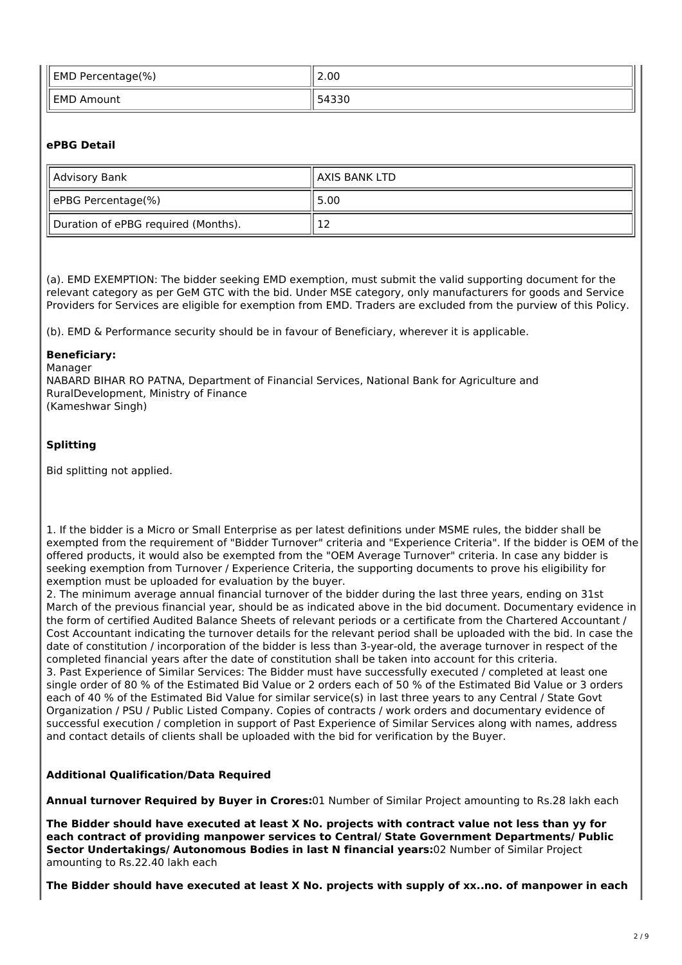| EMD Percentage(%) | 2.00            |
|-------------------|-----------------|
| EMD Amount        | .5433c<br>3433U |

### **ePBG Detail**

| Advisory Bank                       | II AXIS BANK LTD |
|-------------------------------------|------------------|
| ePBG Percentage(%)                  | 5.00             |
| Duration of ePBG required (Months). | ┸                |

(a). EMD EXEMPTION: The bidder seeking EMD exemption, must submit the valid supporting document for the relevant category as per GeM GTC with the bid. Under MSE category, only manufacturers for goods and Service Providers for Services are eligible for exemption from EMD. Traders are excluded from the purview of this Policy.

(b). EMD & Performance security should be in favour of Beneficiary, wherever it is applicable.

#### **Beneficiary:**

Manager NABARD BIHAR RO PATNA, Department of Financial Services, National Bank for Agriculture and RuralDevelopment, Ministry of Finance (Kameshwar Singh)

#### **Splitting**

Bid splitting not applied.

1. If the bidder is a Micro or Small Enterprise as per latest definitions under MSME rules, the bidder shall be exempted from the requirement of "Bidder Turnover" criteria and "Experience Criteria". If the bidder is OEM of the offered products, it would also be exempted from the "OEM Average Turnover" criteria. In case any bidder is seeking exemption from Turnover / Experience Criteria, the supporting documents to prove his eligibility for exemption must be uploaded for evaluation by the buyer.

2. The minimum average annual financial turnover of the bidder during the last three years, ending on 31st March of the previous financial year, should be as indicated above in the bid document. Documentary evidence in the form of certified Audited Balance Sheets of relevant periods or a certificate from the Chartered Accountant / Cost Accountant indicating the turnover details for the relevant period shall be uploaded with the bid. In case the date of constitution / incorporation of the bidder is less than 3-year-old, the average turnover in respect of the completed financial years after the date of constitution shall be taken into account for this criteria. 3. Past Experience of Similar Services: The Bidder must have successfully executed / completed at least one single order of 80 % of the Estimated Bid Value or 2 orders each of 50 % of the Estimated Bid Value or 3 orders each of 40 % of the Estimated Bid Value for similar service(s) in last three years to any Central / State Govt Organization / PSU / Public Listed Company. Copies of contracts / work orders and documentary evidence of successful execution / completion in support of Past Experience of Similar Services along with names, address and contact details of clients shall be uploaded with the bid for verification by the Buyer.

#### **Additional Qualification/Data Required**

**Annual turnover Required by Buyer in Crores:**01 Number of Similar Project amounting to Rs.28 lakh each

**The Bidder should have executed at least X No. projects with contract value not less than yy for each contract of providing manpower services to Central/ State Government Departments/ Public Sector Undertakings/ Autonomous Bodies in last N financial years:**02 Number of Similar Project amounting to Rs.22.40 lakh each

**The Bidder should have executed at least X No. projects with supply of xx..no. of manpower in each**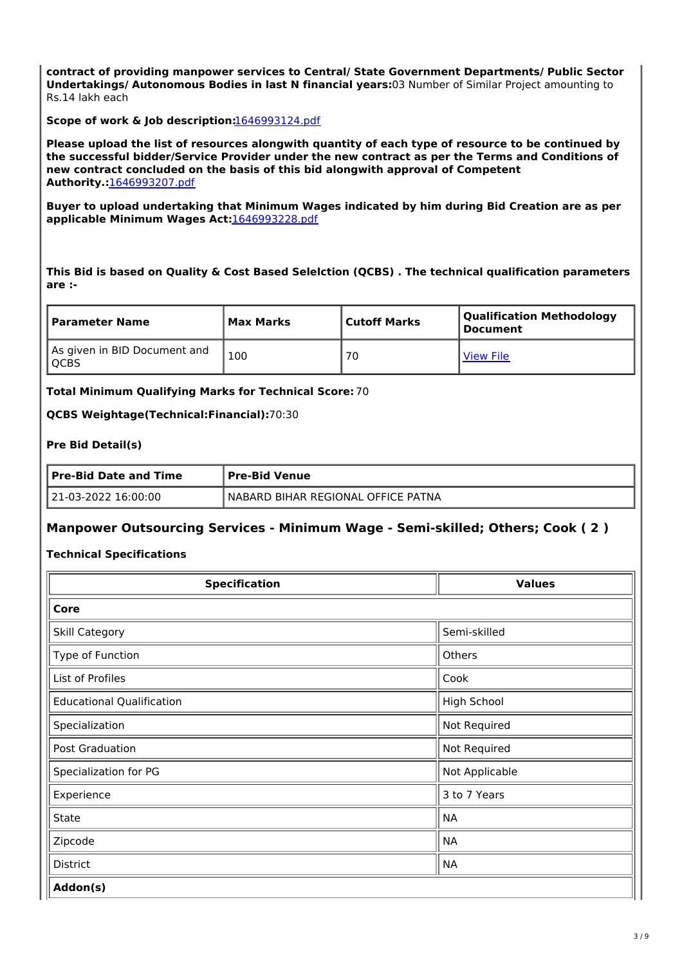**contract of providing manpower services to Central/ State Government Departments/ Public Sector Undertakings/ Autonomous Bodies in last N financial years:**03 Number of Similar Project amounting to Rs.14 lakh each

**Scope of work & Job description:**1646993124.pdf

**Please upload the list of resources alongwith quantity of each type of resource to be continued by the successful bidder/Service Provider under the new contract as per the Terms and Conditions of new contract concluded on the basis of this bid alongwith approval of Competent Authority.:**1646993207.pdf

**Buyer to upload undertaking that Minimum Wages indicated by him during Bid Creation are as per applicable Minimum Wages Act:**1646993228.pdf

**This Bid is based on Quality & Cost Based Selelction (QCBS) . The technical qualification parameters are :-**

| l Parameter Name                       | Max Marks | Cutoff Marks | Qualification Methodology<br>' Document |
|----------------------------------------|-----------|--------------|-----------------------------------------|
| As given in BID Document and<br>l OCBS | 100       | 70           | <b>View File</b>                        |

**Total Minimum Qualifying Marks for Technical Score:** 70

**QCBS Weightage(Technical:Financial):**70:30

#### **Pre Bid Detail(s)**

| <b>Pre-Bid Date and Time</b> | <b>Pre-Bid Venue</b>               |  |
|------------------------------|------------------------------------|--|
| 21-03-2022 16:00:00          | NABARD BIHAR REGIONAL OFFICE PATNA |  |

#### **Manpower Outsourcing Services - Minimum Wage - Semi-skilled; Others; Cook ( 2 )**

#### **Technical Specifications**

| <b>Specification</b>             | <b>Values</b>      |
|----------------------------------|--------------------|
| Core                             |                    |
| Skill Category                   | Semi-skilled       |
| Type of Function                 | Others             |
| List of Profiles                 | Cook               |
| <b>Educational Qualification</b> | <b>High School</b> |
| Specialization                   | Not Required       |
| Post Graduation                  | Not Required       |
| Specialization for PG            | Not Applicable     |
| Experience                       | 3 to 7 Years       |
| State                            | <b>NA</b>          |
| Zipcode                          | <b>NA</b>          |
| <b>District</b>                  | <b>NA</b>          |
| Addon(s)                         |                    |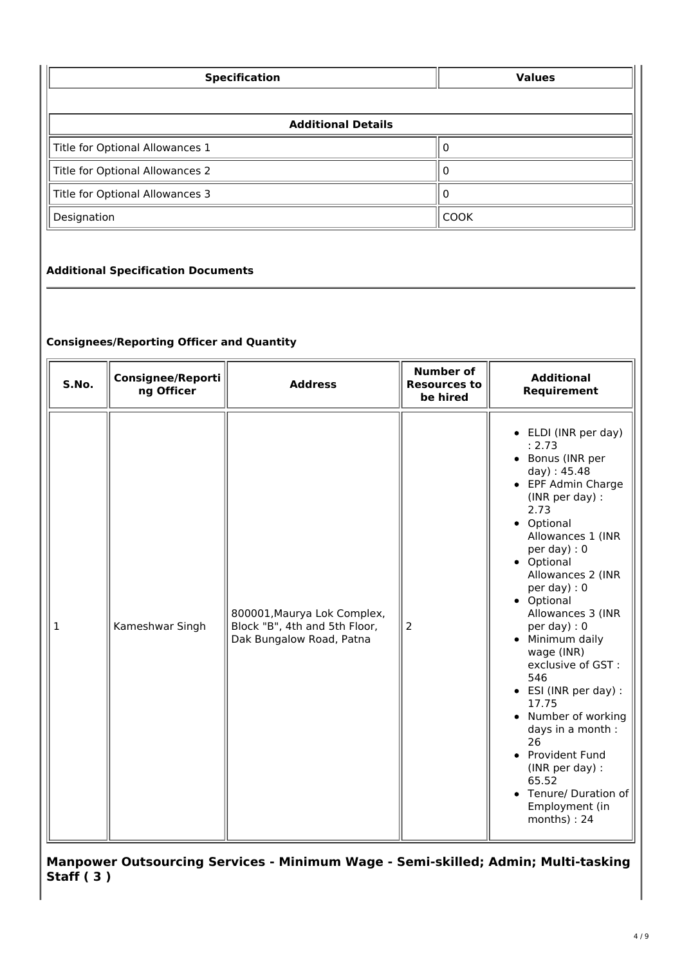| <b>Specification</b>            | <b>Values</b> |  |
|---------------------------------|---------------|--|
|                                 |               |  |
| <b>Additional Details</b>       |               |  |
| Title for Optional Allowances 1 | U             |  |
| Title for Optional Allowances 2 | O             |  |
| Title for Optional Allowances 3 |               |  |
| Designation                     | <b>COOK</b>   |  |

## **Additional Specification Documents**

## **Consignees/Reporting Officer and Quantity**

| S.No.        | <b>Consignee/Reporti</b><br>ng Officer | <b>Address</b>                                                                           | <b>Number of</b><br><b>Resources to</b><br>be hired | <b>Additional</b><br>Requirement                                                                                                                                                                                                                                                                                                                                                                                                                                                                                                                                            |
|--------------|----------------------------------------|------------------------------------------------------------------------------------------|-----------------------------------------------------|-----------------------------------------------------------------------------------------------------------------------------------------------------------------------------------------------------------------------------------------------------------------------------------------------------------------------------------------------------------------------------------------------------------------------------------------------------------------------------------------------------------------------------------------------------------------------------|
| $\mathbf{1}$ | Kameshwar Singh                        | 800001, Maurya Lok Complex,<br>Block "B", 4th and 5th Floor,<br>Dak Bungalow Road, Patna | 2                                                   | • ELDI (INR per day)<br>: 2.73<br>• Bonus (INR per<br>day): 45.48<br>• EPF Admin Charge<br>(INR per day) :<br>2.73<br>• Optional<br>Allowances 1 (INR<br>per day) : $0$<br>• Optional<br>Allowances 2 (INR<br>per day) : 0<br>• Optional<br>Allowances 3 (INR<br>per day) : $0$<br>Minimum daily<br>$\bullet$<br>wage (INR)<br>exclusive of GST:<br>546<br>ESI (INR per day) :<br>$\bullet$<br>17.75<br>Number of working<br>$\bullet$<br>days in a month :<br>26<br>Provident Fund<br>(INR per day) :<br>65.52<br>Tenure/ Duration of<br>Employment (in<br>$months$ ) : 24 |

**Manpower Outsourcing Services - Minimum Wage - Semi-skilled; Admin; Multi-tasking Staff ( 3 )**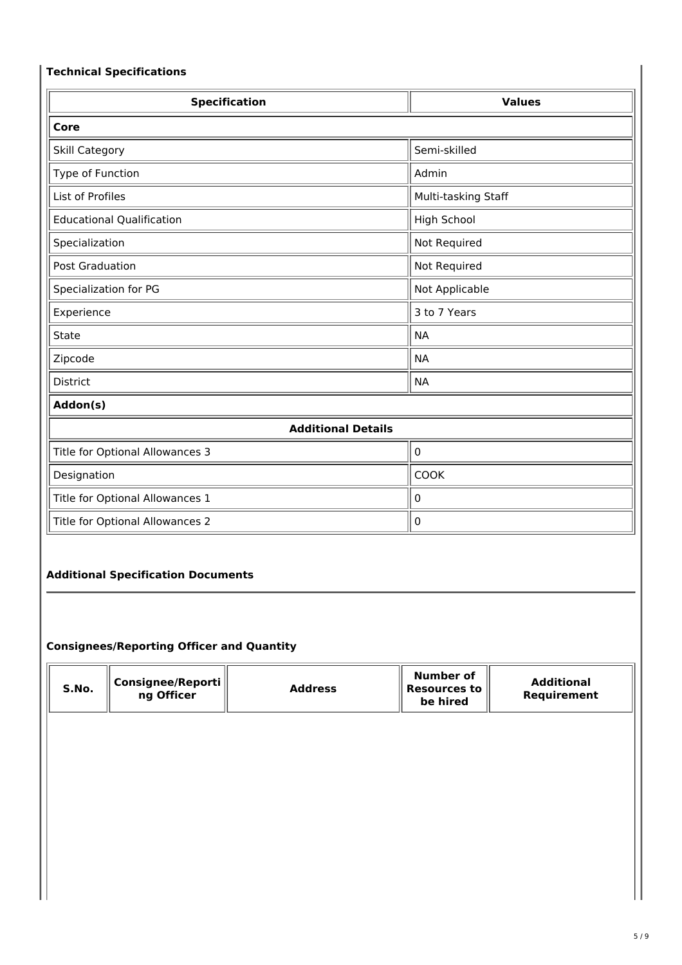## **Technical Specifications**

| <b>Specification</b>             | <b>Values</b>       |  |  |
|----------------------------------|---------------------|--|--|
| Core                             |                     |  |  |
| Skill Category                   | Semi-skilled        |  |  |
| Type of Function                 | Admin               |  |  |
| List of Profiles                 | Multi-tasking Staff |  |  |
| <b>Educational Qualification</b> | High School         |  |  |
| Specialization                   | Not Required        |  |  |
| <b>Post Graduation</b>           | Not Required        |  |  |
| Specialization for PG            | Not Applicable      |  |  |
| Experience                       | 3 to 7 Years        |  |  |
| State                            | <b>NA</b>           |  |  |
| Zipcode                          | <b>NA</b>           |  |  |
| <b>District</b>                  | <b>NA</b>           |  |  |
| Addon(s)                         |                     |  |  |
| <b>Additional Details</b>        |                     |  |  |
| Title for Optional Allowances 3  | 0                   |  |  |
| Designation                      | <b>COOK</b>         |  |  |
| Title for Optional Allowances 1  | 0                   |  |  |

# Title for Optional Allowances 2  $\|$  0

## **Additional Specification Documents**

## **Consignees/Reporting Officer and Quantity**

| Consignee/Reporti   <br>S.No.<br><b>Address</b><br>ng Officer | Number of<br><b>Resources to</b><br>be hired | <b>Additional</b><br>Reauirement |
|---------------------------------------------------------------|----------------------------------------------|----------------------------------|
|---------------------------------------------------------------|----------------------------------------------|----------------------------------|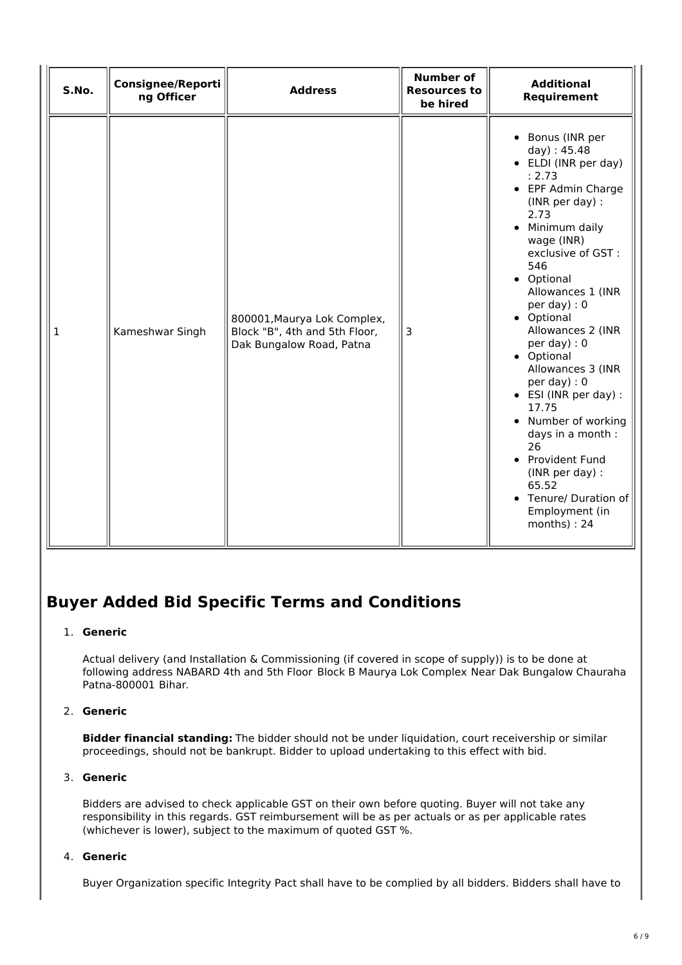| S.No.        | Consignee/Reporti<br>ng Officer | <b>Address</b>                                                                           | <b>Number of</b><br><b>Resources to</b><br>be hired | <b>Additional</b><br>Requirement                                                                                                                                                                                                                                                                                                                                                                                                                                                                                                            |
|--------------|---------------------------------|------------------------------------------------------------------------------------------|-----------------------------------------------------|---------------------------------------------------------------------------------------------------------------------------------------------------------------------------------------------------------------------------------------------------------------------------------------------------------------------------------------------------------------------------------------------------------------------------------------------------------------------------------------------------------------------------------------------|
| $\mathbf{1}$ | Kameshwar Singh                 | 800001, Maurya Lok Complex,<br>Block "B", 4th and 5th Floor,<br>Dak Bungalow Road, Patna | 3                                                   | • Bonus (INR per<br>day): 45.48<br>• ELDI (INR per day)<br>: 2.73<br>• EPF Admin Charge<br>(INR per day) :<br>2.73<br>• Minimum daily<br>wage (INR)<br>exclusive of GST :<br>546<br>• Optional<br>Allowances 1 (INR<br>per day) : $0$<br>• Optional<br>Allowances 2 (INR<br>per day) : $0$<br>• Optional<br>Allowances 3 (INR<br>per day): 0<br>• ESI (INR per day) :<br>17.75<br>• Number of working<br>days in a month :<br>26<br>• Provident Fund<br>(INR per day) :<br>65.52<br>• Tenure/ Duration of<br>Employment (in<br>months) : 24 |

## **Buyer Added Bid Specific Terms and Conditions**

#### 1. **Generic**

Actual delivery (and Installation & Commissioning (if covered in scope of supply)) is to be done at following address NABARD 4th and 5th Floor Block B Maurya Lok Complex Near Dak Bungalow Chauraha Patna-800001 Bihar.

## 2. **Generic**

**Bidder financial standing:** The bidder should not be under liquidation, court receivership or similar proceedings, should not be bankrupt. Bidder to upload undertaking to this effect with bid.

## 3. **Generic**

Bidders are advised to check applicable GST on their own before quoting. Buyer will not take any responsibility in this regards. GST reimbursement will be as per actuals or as per applicable rates (whichever is lower), subject to the maximum of quoted GST %.

#### 4. **Generic**

Buyer Organization specific Integrity Pact shall have to be complied by all bidders. Bidders shall have to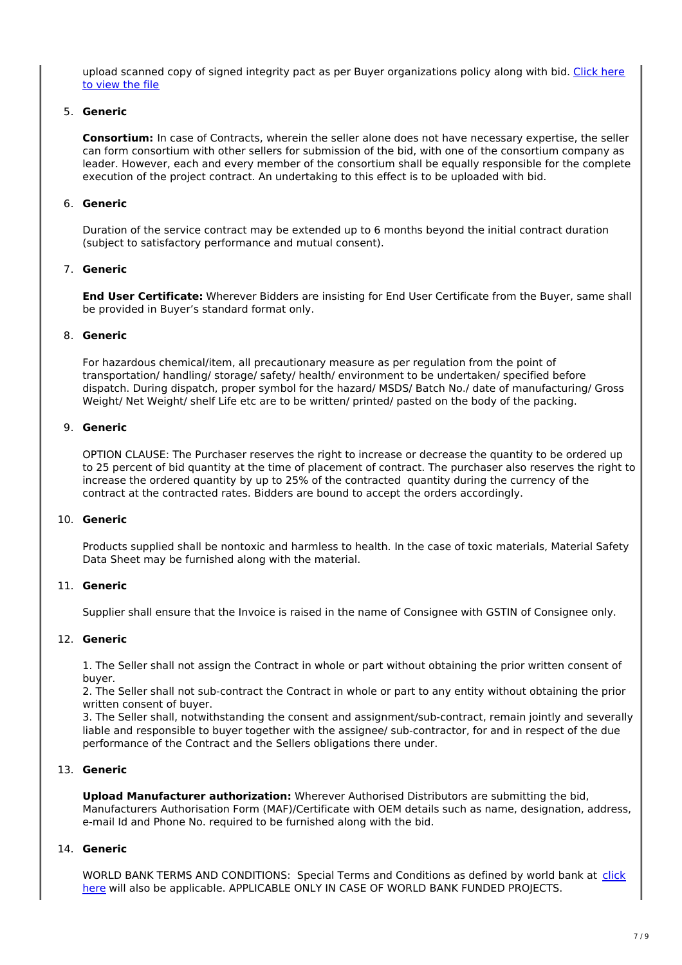upload scanned copy of signed integrity pact as per Buyer organizations policy along with bid. Click here to view the file

#### 5. **Generic**

**Consortium:** In case of Contracts, wherein the seller alone does not have necessary expertise, the seller can form consortium with other sellers for submission of the bid, with one of the consortium company as leader. However, each and every member of the consortium shall be equally responsible for the complete execution of the project contract. An undertaking to this effect is to be uploaded with bid.

#### 6. **Generic**

Duration of the service contract may be extended up to 6 months beyond the initial contract duration (subject to satisfactory performance and mutual consent).

#### 7. **Generic**

**End User Certificate:** Wherever Bidders are insisting for End User Certificate from the Buyer, same shall be provided in Buyer's standard format only.

#### 8. **Generic**

For hazardous chemical/item, all precautionary measure as per regulation from the point of transportation/ handling/ storage/ safety/ health/ environment to be undertaken/ specified before dispatch. During dispatch, proper symbol for the hazard/ MSDS/ Batch No./ date of manufacturing/ Gross Weight/ Net Weight/ shelf Life etc are to be written/ printed/ pasted on the body of the packing.

#### 9. **Generic**

OPTION CLAUSE: The Purchaser reserves the right to increase or decrease the quantity to be ordered up to 25 percent of bid quantity at the time of placement of contract. The purchaser also reserves the right to increase the ordered quantity by up to 25% of the contracted quantity during the currency of the contract at the contracted rates. Bidders are bound to accept the orders accordingly.

#### 10. **Generic**

Products supplied shall be nontoxic and harmless to health. In the case of toxic materials, Material Safety Data Sheet may be furnished along with the material.

#### 11. **Generic**

Supplier shall ensure that the Invoice is raised in the name of Consignee with GSTIN of Consignee only.

#### 12. **Generic**

1. The Seller shall not assign the Contract in whole or part without obtaining the prior written consent of buyer.

2. The Seller shall not sub-contract the Contract in whole or part to any entity without obtaining the prior written consent of buyer.

3. The Seller shall, notwithstanding the consent and assignment/sub-contract, remain jointly and severally liable and responsible to buyer together with the assignee/ sub-contractor, for and in respect of the due performance of the Contract and the Sellers obligations there under.

#### 13. **Generic**

**Upload Manufacturer authorization:** Wherever Authorised Distributors are submitting the bid, Manufacturers Authorisation Form (MAF)/Certificate with OEM details such as name, designation, address, e-mail Id and Phone No. required to be furnished along with the bid.

#### 14. **Generic**

WORLD BANK TERMS AND CONDITIONS: Special Terms and Conditions as defined by world bank at click here will also be applicable. APPLICABLE ONLY IN CASE OF WORLD BANK FUNDED PROJECTS.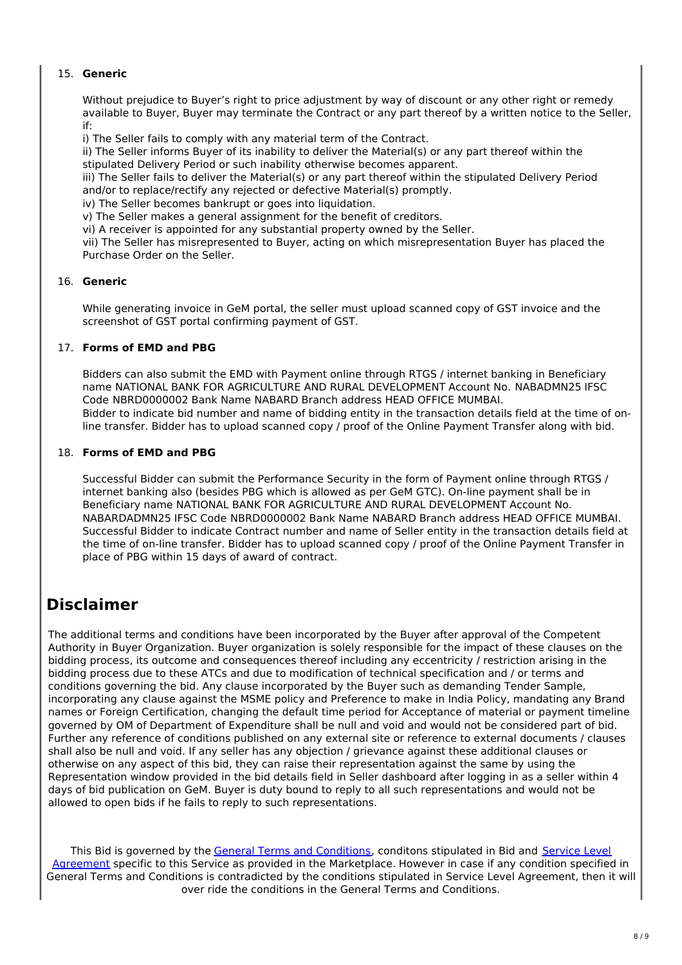## 15. **Generic**

Without prejudice to Buyer's right to price adjustment by way of discount or any other right or remedy available to Buyer, Buyer may terminate the Contract or any part thereof by a written notice to the Seller, if:

i) The Seller fails to comply with any material term of the Contract.

ii) The Seller informs Buyer of its inability to deliver the Material(s) or any part thereof within the stipulated Delivery Period or such inability otherwise becomes apparent.

iii) The Seller fails to deliver the Material(s) or any part thereof within the stipulated Delivery Period and/or to replace/rectify any rejected or defective Material(s) promptly.

iv) The Seller becomes bankrupt or goes into liquidation.

v) The Seller makes a general assignment for the benefit of creditors.

vi) A receiver is appointed for any substantial property owned by the Seller.

vii) The Seller has misrepresented to Buyer, acting on which misrepresentation Buyer has placed the Purchase Order on the Seller.

#### 16. **Generic**

While generating invoice in GeM portal, the seller must upload scanned copy of GST invoice and the screenshot of GST portal confirming payment of GST.

#### 17. **Forms of EMD and PBG**

Bidders can also submit the EMD with Payment online through RTGS / internet banking in Beneficiary name NATIONAL BANK FOR AGRICULTURE AND RURAL DEVELOPMENT Account No. NABADMN25 IFSC Code NBRD0000002 Bank Name NABARD Branch address HEAD OFFICE MUMBAI. Bidder to indicate bid number and name of bidding entity in the transaction details field at the time of online transfer. Bidder has to upload scanned copy / proof of the Online Payment Transfer along with bid.

#### 18. **Forms of EMD and PBG**

Successful Bidder can submit the Performance Security in the form of Payment online through RTGS / internet banking also (besides PBG which is allowed as per GeM GTC). On-line payment shall be in Beneficiary name NATIONAL BANK FOR AGRICULTURE AND RURAL DEVELOPMENT Account No. NABARDADMN25 IFSC Code NBRD0000002 Bank Name NABARD Branch address HEAD OFFICE MUMBAI. Successful Bidder to indicate Contract number and name of Seller entity in the transaction details field at the time of on-line transfer. Bidder has to upload scanned copy / proof of the Online Payment Transfer in place of PBG within 15 days of award of contract.

## **Disclaimer**

The additional terms and conditions have been incorporated by the Buyer after approval of the Competent Authority in Buyer Organization. Buyer organization is solely responsible for the impact of these clauses on the bidding process, its outcome and consequences thereof including any eccentricity / restriction arising in the bidding process due to these ATCs and due to modification of technical specification and / or terms and conditions governing the bid. Any clause incorporated by the Buyer such as demanding Tender Sample, incorporating any clause against the MSME policy and Preference to make in India Policy, mandating any Brand names or Foreign Certification, changing the default time period for Acceptance of material or payment timeline governed by OM of Department of Expenditure shall be null and void and would not be considered part of bid. Further any reference of conditions published on any external site or reference to external documents / clauses shall also be null and void. If any seller has any objection / grievance against these additional clauses or otherwise on any aspect of this bid, they can raise their representation against the same by using the Representation window provided in the bid details field in Seller dashboard after logging in as a seller within 4 days of bid publication on GeM. Buyer is duty bound to reply to all such representations and would not be allowed to open bids if he fails to reply to such representations.

This Bid is governed by the General Terms and Conditions, conditons stipulated in Bid and Service Level Agreement specific to this Service as provided in the Marketplace. However in case if any condition specified in General Terms and Conditions is contradicted by the conditions stipulated in Service Level Agreement, then it will over ride the conditions in the General Terms and Conditions.